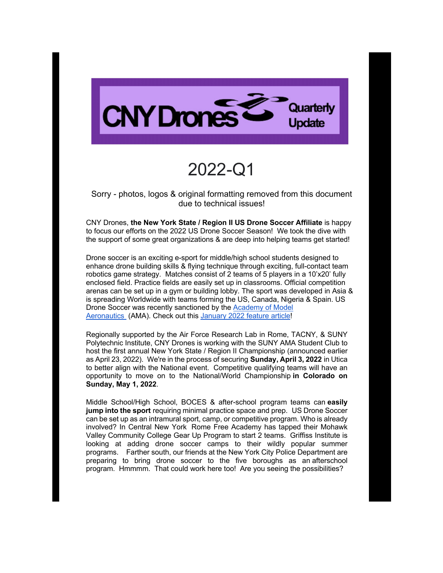

# 2022-Q1

Sorry - photos, logos & original formatting removed from this document due to technical issues!

CNY Drones, **the New York State / Region II US Drone Soccer Affiliate** is happy to focus our efforts on the 2022 US Drone Soccer Season! We took the dive with the support of some great organizations & are deep into helping teams get started!

Drone soccer is an exciting e-sport for middle/high school students designed to enhance drone building skills & flying technique through exciting, full-contact team robotics game strategy. Matches consist of 2 teams of 5 players in a 10'x20' fully enclosed field. Practice fields are easily set up in classrooms. Official competition arenas can be set up in a gym or building lobby. The sport was developed in Asia & is spreading Worldwide with teams forming the US, Canada, Nigeria & Spain. US Drone Soccer was recently sanctioned by the Academy of Model Aeronautics (AMA). Check out this January 2022 feature article!

Regionally supported by the Air Force Research Lab in Rome, TACNY, & SUNY Polytechnic Institute, CNY Drones is working with the SUNY AMA Student Club to host the first annual New York State / Region II Championship (announced earlier as April 23, 2022). We're in the process of securing **Sunday, April 3, 2022** in Utica to better align with the National event. Competitive qualifying teams will have an opportunity to move on to the National/World Championship **in Colorado on Sunday, May 1, 2022**.

Middle School/High School, BOCES & after-school program teams can **easily jump into the sport** requiring minimal practice space and prep. US Drone Soccer can be set up as an intramural sport, camp, or competitive program. Who is already involved? In Central New York Rome Free Academy has tapped their Mohawk Valley Community College Gear Up Program to start 2 teams. Griffiss Institute is looking at adding drone soccer camps to their wildly popular summer programs. Farther south, our friends at the New York City Police Department are preparing to bring drone soccer to the five boroughs as an afterschool program. Hmmmm. That could work here too! Are you seeing the possibilities?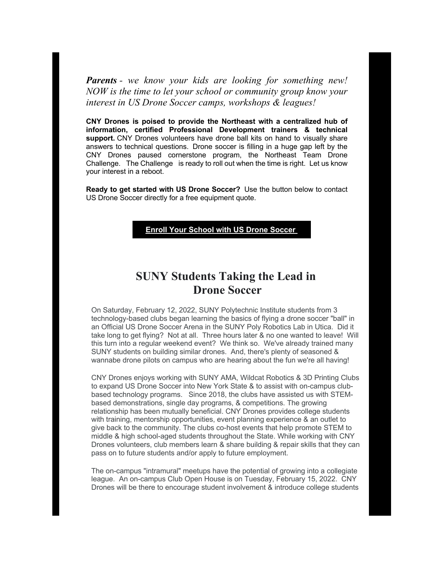*Parents - we know your kids are looking for something new! NOW is the time to let your school or community group know your interest in US Drone Soccer camps, workshops & leagues!* 

**CNY Drones is poised to provide the Northeast with a centralized hub of information, certified Professional Development trainers & technical support.** CNY Drones volunteers have drone ball kits on hand to visually share answers to technical questions. Drone soccer is filling in a huge gap left by the CNY Drones paused cornerstone program, the Northeast Team Drone Challenge. The Challenge is ready to roll out when the time is right. Let us know your interest in a reboot.

**Ready to get started with US Drone Soccer?** Use the button below to contact US Drone Soccer directly for a free equipment quote.

**Enroll Your School with US Drone Soccer**

## **SUNY Students Taking the Lead in Drone Soccer**

On Saturday, February 12, 2022, SUNY Polytechnic Institute students from 3 technology-based clubs began learning the basics of flying a drone soccer "ball" in an Official US Drone Soccer Arena in the SUNY Poly Robotics Lab in Utica. Did it take long to get flying? Not at all. Three hours later & no one wanted to leave! Will this turn into a regular weekend event? We think so. We've already trained many SUNY students on building similar drones. And, there's plenty of seasoned & wannabe drone pilots on campus who are hearing about the fun we're all having!

CNY Drones enjoys working with SUNY AMA, Wildcat Robotics & 3D Printing Clubs to expand US Drone Soccer into New York State & to assist with on-campus clubbased technology programs. Since 2018, the clubs have assisted us with STEMbased demonstrations, single day programs, & competitions. The growing relationship has been mutually beneficial. CNY Drones provides college students with training, mentorship opportunities, event planning experience & an outlet to give back to the community. The clubs co-host events that help promote STEM to middle & high school-aged students throughout the State. While working with CNY Drones volunteers, club members learn & share building & repair skills that they can pass on to future students and/or apply to future employment.

The on-campus "intramural" meetups have the potential of growing into a collegiate league. An on-campus Club Open House is on Tuesday, February 15, 2022. CNY Drones will be there to encourage student involvement & introduce college students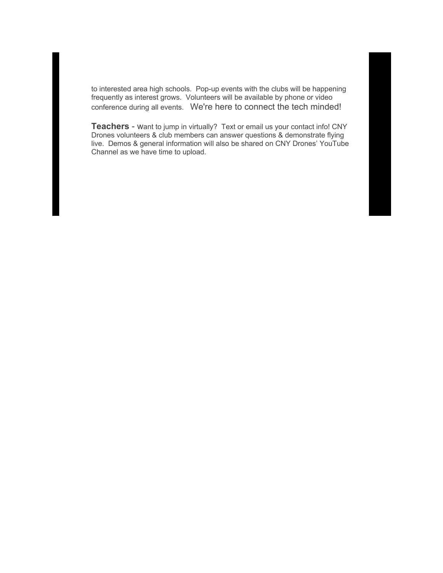to interested area high schools. Pop-up events with the clubs will be happening frequently as interest grows. Volunteers will be available by phone or video conference during all events. We're here to connect the tech minded!

**Teachers** - want to jump in virtually? Text or email us your contact info! CNY Drones volunteers & club members can answer questions & demonstrate flying live. Demos & general information will also be shared on CNY Drones' YouTube Channel as we have time to upload.